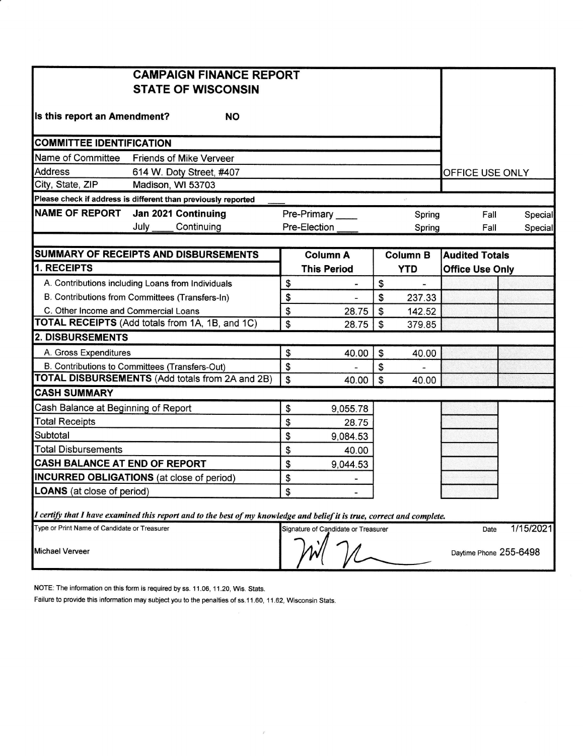|                                                        | <b>CAMPAIGN FINANCE REPORT</b>                                                                                          |                           |                                     |    |                 |                        |  |           |
|--------------------------------------------------------|-------------------------------------------------------------------------------------------------------------------------|---------------------------|-------------------------------------|----|-----------------|------------------------|--|-----------|
|                                                        | <b>STATE OF WISCONSIN</b>                                                                                               |                           |                                     |    |                 |                        |  |           |
|                                                        |                                                                                                                         |                           |                                     |    |                 |                        |  |           |
| Is this report an Amendment?                           | <b>NO</b>                                                                                                               |                           |                                     |    |                 |                        |  |           |
| <b>COMMITTEE IDENTIFICATION</b>                        |                                                                                                                         |                           |                                     |    |                 |                        |  |           |
| Name of Committee                                      | <b>Friends of Mike Verveer</b>                                                                                          |                           |                                     |    |                 |                        |  |           |
| <b>Address</b>                                         | 614 W. Doty Street, #407                                                                                                |                           |                                     |    |                 | OFFICE USE ONLY        |  |           |
| City, State, ZIP                                       | Madison, WI 53703                                                                                                       |                           |                                     |    |                 |                        |  |           |
|                                                        | Please check if address is different than previously reported                                                           |                           |                                     |    |                 |                        |  |           |
| <b>NAME OF REPORT</b>                                  | Jan 2021 Continuing                                                                                                     | Pre-Primary               |                                     |    | Spring          | Fall                   |  | Special   |
|                                                        | July<br>Continuing                                                                                                      |                           | Pre-Election                        |    | Spring          | Fall                   |  | Special   |
|                                                        |                                                                                                                         |                           |                                     |    |                 |                        |  |           |
| <b>SUMMARY OF RECEIPTS AND DISBURSEMENTS</b>           |                                                                                                                         |                           | <b>Column A</b>                     |    | <b>Column B</b> | <b>Audited Totals</b>  |  |           |
| 1. RECEIPTS                                            |                                                                                                                         |                           | <b>This Period</b>                  |    | <b>YTD</b>      | <b>Office Use Only</b> |  |           |
|                                                        | A. Contributions including Loans from Individuals                                                                       | \$                        | $\blacksquare$                      | \$ |                 |                        |  |           |
| B. Contributions from Committees (Transfers-In)        |                                                                                                                         |                           |                                     | \$ | 237.33          |                        |  |           |
| C. Other Income and Commercial Loans                   |                                                                                                                         |                           | 28.75                               | \$ | 142.52          |                        |  |           |
|                                                        | TOTAL RECEIPTS (Add totals from 1A, 1B, and 1C)                                                                         | \$                        | 28.75                               | \$ | 379.85          |                        |  |           |
| <b>2. DISBURSEMENTS</b>                                |                                                                                                                         |                           |                                     |    |                 |                        |  |           |
| A. Gross Expenditures                                  |                                                                                                                         | \$                        | 40.00                               | \$ | 40.00           |                        |  |           |
| B. Contributions to Committees (Transfers-Out)         |                                                                                                                         | \$                        |                                     | \$ |                 |                        |  |           |
| <b>TOTAL DISBURSEMENTS (Add totals from 2A and 2B)</b> |                                                                                                                         | $\boldsymbol{\mathsf{S}}$ | 40.00                               | \$ | 40.00           |                        |  |           |
| <b>CASH SUMMARY</b>                                    |                                                                                                                         |                           |                                     |    |                 |                        |  |           |
| Cash Balance at Beginning of Report                    |                                                                                                                         | \$                        | 9,055.78                            |    |                 |                        |  |           |
| <b>Total Receipts</b>                                  |                                                                                                                         | \$                        | 28.75                               |    |                 |                        |  |           |
| Subtotal                                               |                                                                                                                         | \$                        | 9,084.53                            |    |                 |                        |  |           |
| <b>Total Disbursements</b>                             |                                                                                                                         | \$                        | 40.00                               |    |                 |                        |  |           |
| CASH BALANCE AT END OF REPORT                          |                                                                                                                         |                           | 9,044.53                            |    |                 |                        |  |           |
| <b>INCURRED OBLIGATIONS</b> (at close of period)       |                                                                                                                         |                           | -                                   |    |                 |                        |  |           |
| <b>LOANS</b> (at close of period)                      |                                                                                                                         | \$                        |                                     |    |                 |                        |  |           |
|                                                        | I certify that I have examined this report and to the best of my knowledge and belief it is true, correct and complete. |                           |                                     |    |                 |                        |  |           |
| Type or Print Name of Candidate or Treasurer           |                                                                                                                         |                           | Signature of Candidate or Treasurer |    |                 | Date                   |  | 1/15/2021 |
| Michael Verveer                                        |                                                                                                                         |                           |                                     |    |                 | Daytime Phone 255-6498 |  |           |

NOTE: The information on this form is required by ss. 11.06, 11.20, Wis. Stats.

Failure to provide this information may subject you to the penalties of ss.11.60, 11.62, Wisconsin Stats.

 $\mathcal{F}$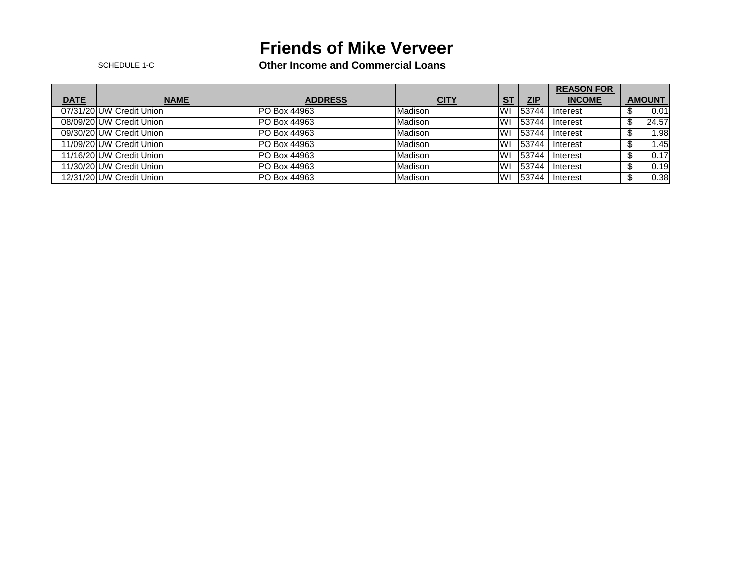## **Friends of Mike Verveer**

SCHEDULE 1-C **Other Income and Commercial Loans**

|             |                          |                     |             |            |            | <b>REASON FOR</b> |                  |  |
|-------------|--------------------------|---------------------|-------------|------------|------------|-------------------|------------------|--|
| <b>DATE</b> | <b>NAME</b>              | <b>ADDRESS</b>      | <u>CITY</u> | <b>ST</b>  | <b>ZIP</b> | <b>INCOME</b>     | <b>AMOUNT</b>    |  |
|             | 07/31/20 UW Credit Union | <b>PO Box 44963</b> | Madison     | <b>IWI</b> | 53744      | Interest          | 0.01             |  |
|             | 08/09/20 UW Credit Union | PO Box 44963        | Madison     | <b>IW</b>  | 153744     | Interest          | 24.57            |  |
|             | 09/30/20 UW Credit Union | <b>PO Box 44963</b> | Madison     | IWI        | 53744      | Interest          | .98 <sub>1</sub> |  |
|             | 11/09/20 UW Credit Union | PO Box 44963        | Madison     | IWI        | 53744      | Interest          | 1.45             |  |
|             | 11/16/20 UW Credit Union | PO Box 44963        | Madison     | <b>IWI</b> | 53744      | Interest          | 0.17             |  |
|             | 11/30/20 UW Credit Union | PO Box 44963        | Madison     | <b>IWI</b> | 53744      | Interest          | 0.19             |  |
|             | 12/31/20 UW Credit Union | PO Box 44963        | Madison     | <b>IW</b>  | 53744      | Interest          | 0.38             |  |